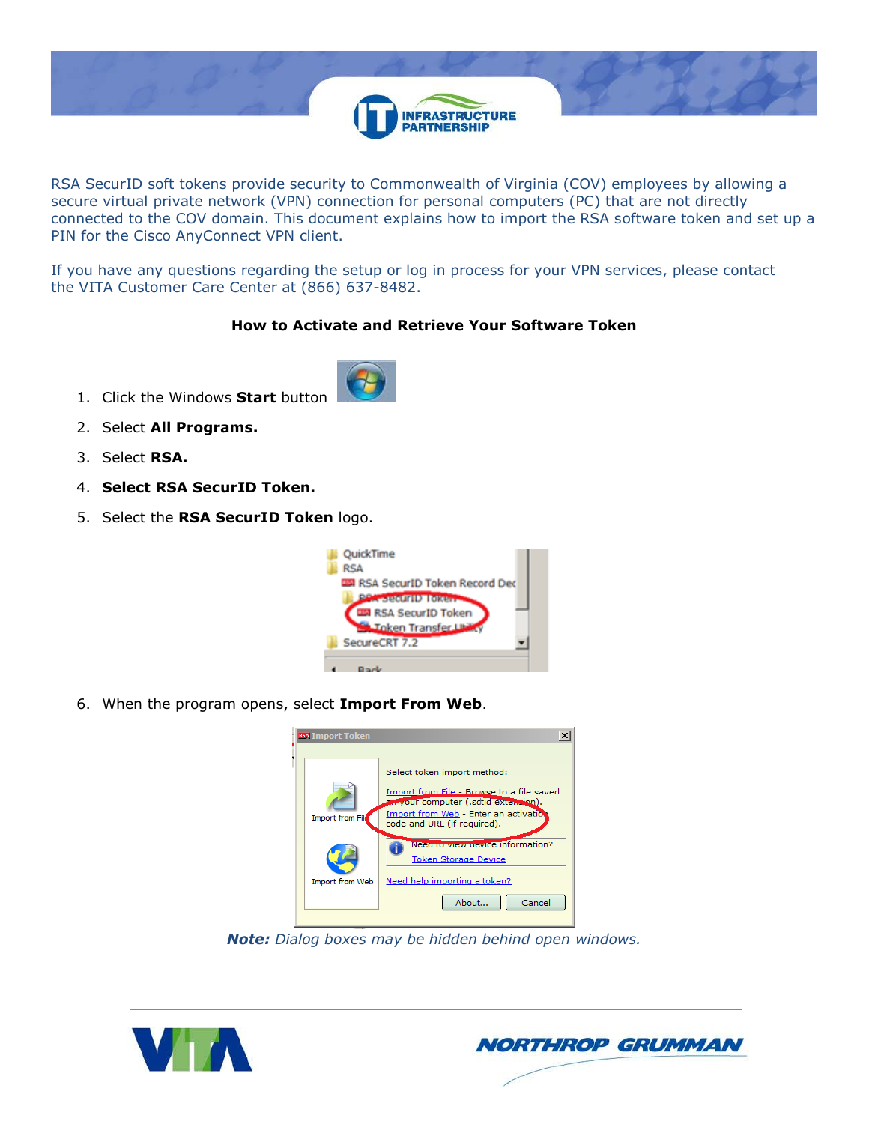

RSA SecurID soft tokens provide security to Commonwealth of Virginia (COV) employees by allowing a secure virtual private network (VPN) connection for personal computers (PC) that are not directly connected to the COV domain. This document explains how to import the RSA software token and set up a PIN for the Cisco AnyConnect VPN client.

If you have any questions regarding the setup or log in process for your VPN services, please contact the VITA Customer Care Center at (866) 637-8482.

## **How to Activate and Retrieve Your Software Token**

- 1. Click the Windows **Start** button
- 2. Select **All Programs.**
- 3. Select **RSA.**
- 4. **Select RSA SecurID Token.**
- 5. Select the **RSA SecurID Token** logo.



6. When the program opens, select **Import From Web**.



*Note: Dialog boxes may be hidden behind open windows.*



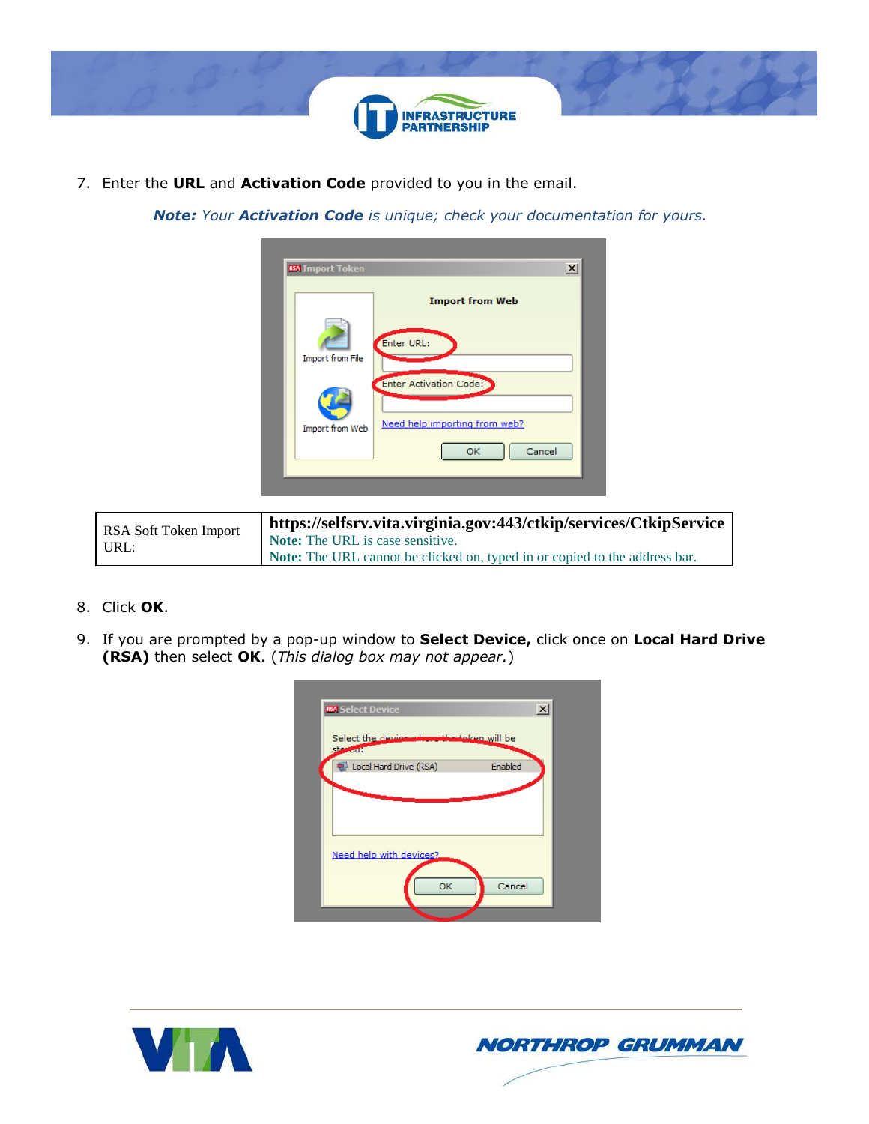

7. Enter the **URL** and **Activation Code** provided to you in the email.

*Note: Your Activation Code is unique; check your documentation for yours.*

| <b>Import from Web</b><br>Enter URL:<br><b>Import from File</b><br><b>Enter Activation Code:</b><br>Need help importing from web?<br>Import from Web | <b>RSA</b> Import Token | $\boldsymbol{\mathsf{x}}$ |
|------------------------------------------------------------------------------------------------------------------------------------------------------|-------------------------|---------------------------|
|                                                                                                                                                      |                         |                           |
|                                                                                                                                                      |                         |                           |
|                                                                                                                                                      |                         |                           |
|                                                                                                                                                      |                         |                           |
| Cancel<br>OK                                                                                                                                         |                         |                           |

| RSA Soft Token Import | https://selfsrv.vita.virginia.gov:443/ctkip/services/CtkipService          |
|-----------------------|----------------------------------------------------------------------------|
| URL:                  | Note: The URL is case sensitive.                                           |
|                       | Note: The URL cannot be clicked on, typed in or copied to the address bar. |

- 8. Click **OK**.
- 9. If you are prompted by a pop-up window to **Select Device,** click once on **Local Hard Drive (RSA)** then select **OK**. (*This dialog box may not appear.*)

| <b>RSA</b> Select Device                                    | $\overline{\mathbf{x}}$ |
|-------------------------------------------------------------|-------------------------|
| Select the device when the token will be<br><b>stratudi</b> |                         |
| Local Hard Drive (RSA)                                      | Enabled                 |
|                                                             |                         |
|                                                             |                         |
| Need help with devices?                                     |                         |
| OK                                                          | Cancel                  |
|                                                             |                         |



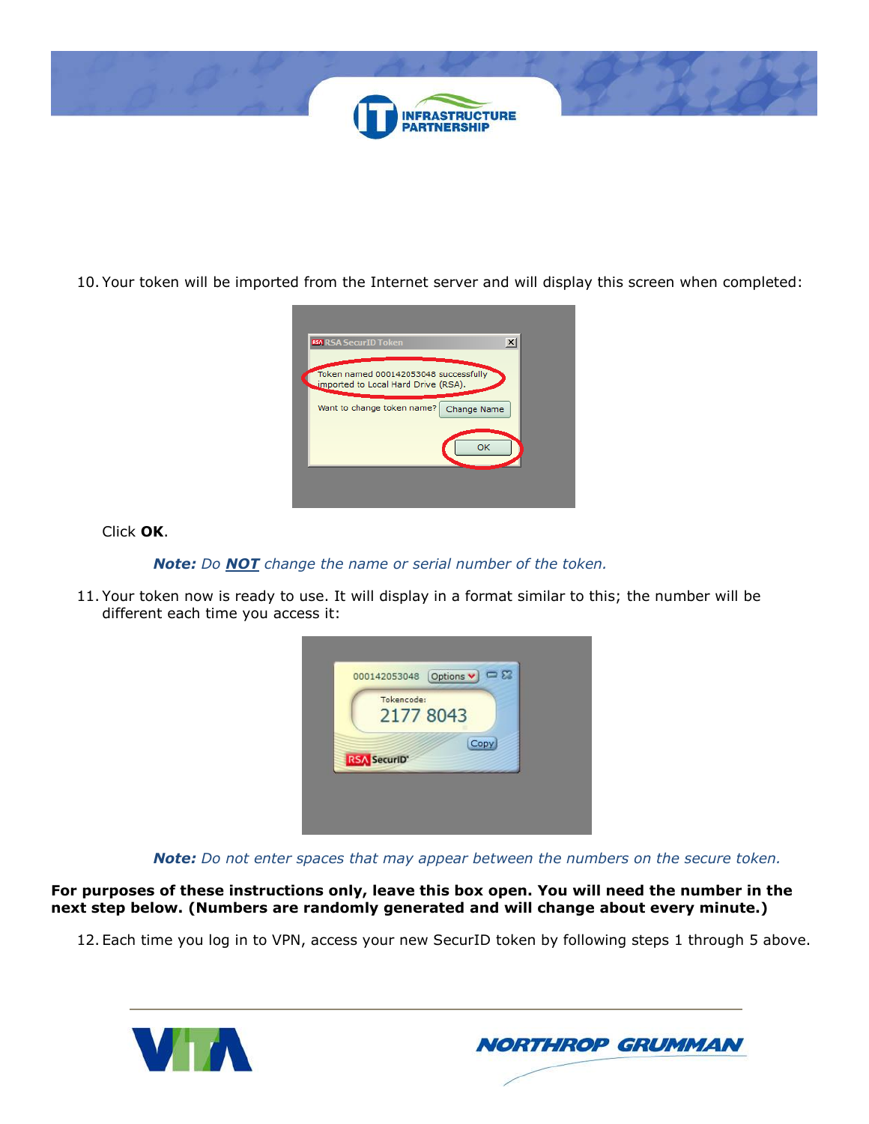

10. Your token will be imported from the Internet server and will display this screen when completed:



Click **OK**.

*Note: Do NOT change the name or serial number of the token.*

11. Your token now is ready to use. It will display in a format similar to this; the number will be different each time you access it:



*Note: Do not enter spaces that may appear between the numbers on the secure token.*

**For purposes of these instructions only, leave this box open. You will need the number in the next step below. (Numbers are randomly generated and will change about every minute.)**

12. Each time you log in to VPN, access your new SecurID token by following steps 1 through 5 above.



**NORTHROP GRUMMAN**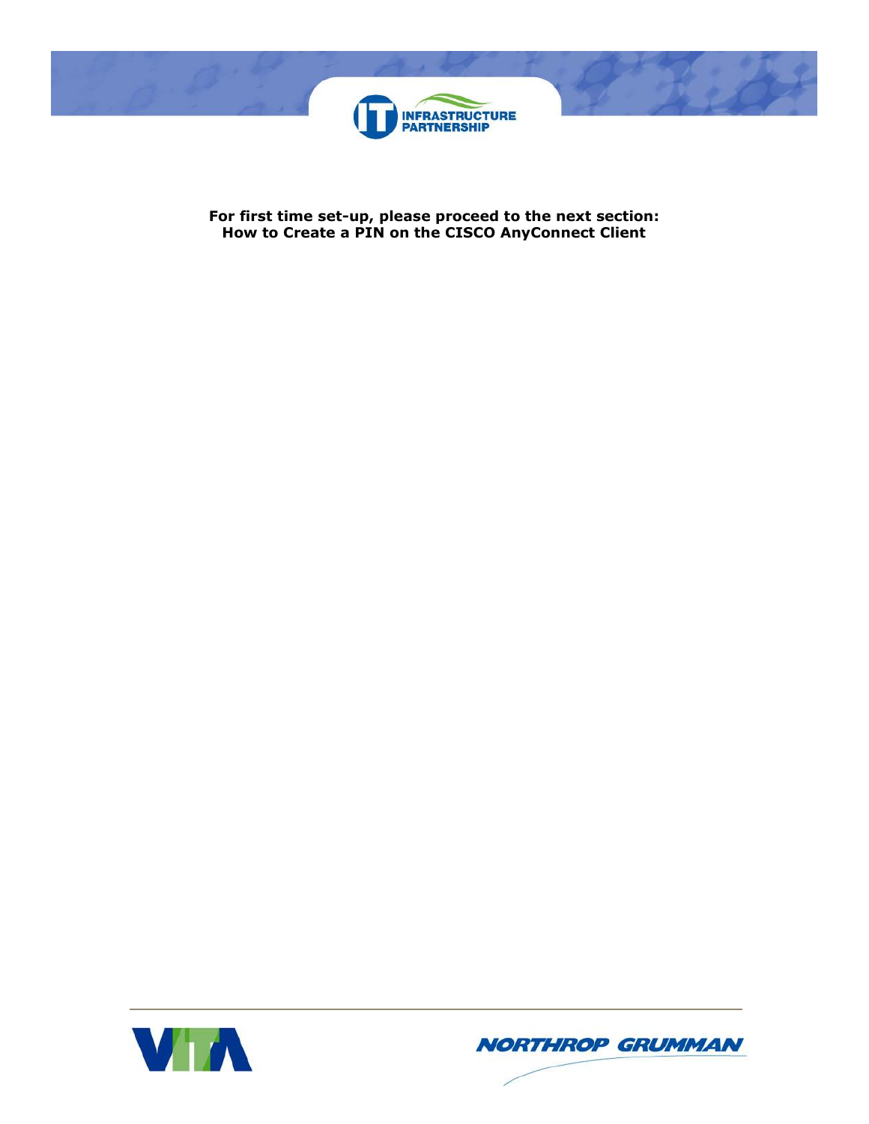

**For first time set-up, please proceed to the next section: How to Create a PIN on the CISCO AnyConnect Client**



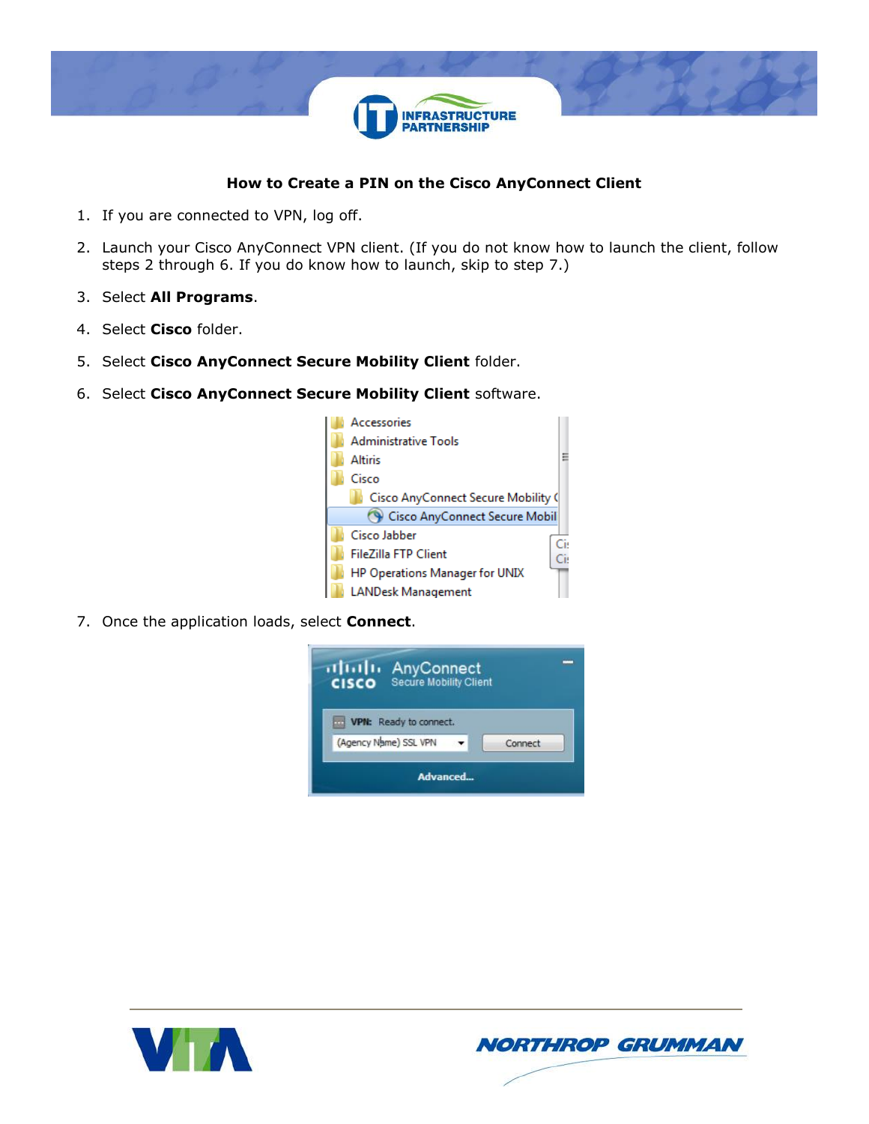

## **How to Create a PIN on the Cisco AnyConnect Client**

- 1. If you are connected to VPN, log off.
- 2. Launch your Cisco AnyConnect VPN client. (If you do not know how to launch the client, follow steps 2 through 6. If you do know how to launch, skip to step 7.)
- 3. Select **All Programs**.
- 4. Select **Cisco** folder.
- 5. Select **Cisco AnyConnect Secure Mobility Client** folder.
- 6. Select **Cisco AnyConnect Secure Mobility Client** software.



7. Once the application loads, select **Connect**.





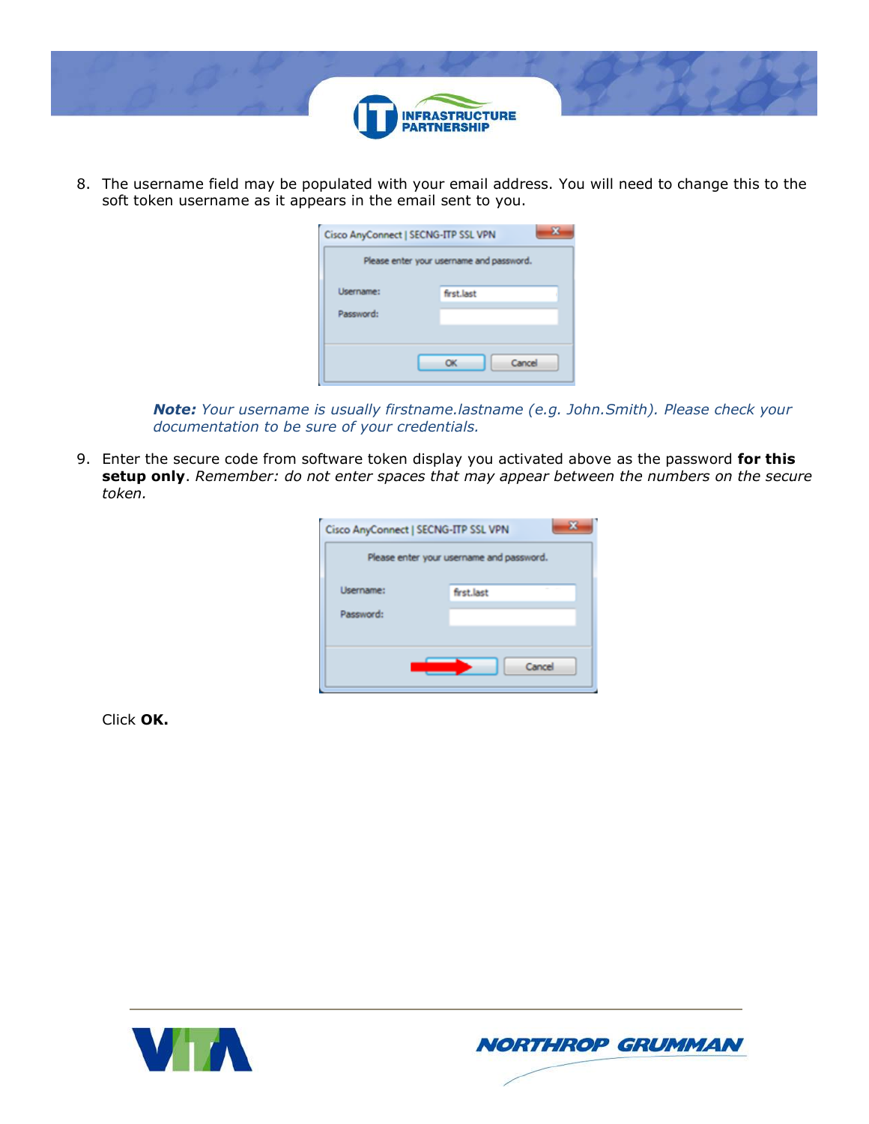

8. The username field may be populated with your email address. You will need to change this to the soft token username as it appears in the email sent to you.

| Cisco AnyConnect   SECNG-ITP SSL VPN |                                          |
|--------------------------------------|------------------------------------------|
|                                      | Please enter your username and password. |
| Lisername:                           | first.last                               |
| Password:                            |                                          |
|                                      | Cancel                                   |
|                                      |                                          |

*Note: Your username is usually firstname.lastname (e.g. John.Smith). Please check your documentation to be sure of your credentials.*

9. Enter the secure code from software token display you activated above as the password **for this setup only**. *Remember: do not enter spaces that may appear between the numbers on the secure token.*

| Cisco AnyConnect   SECNG-ITP SSL VPN | Please enter your username and password. |
|--------------------------------------|------------------------------------------|
| Username:                            | first.last                               |
| Password:                            |                                          |
|                                      | Cancel                                   |

Click **OK.**



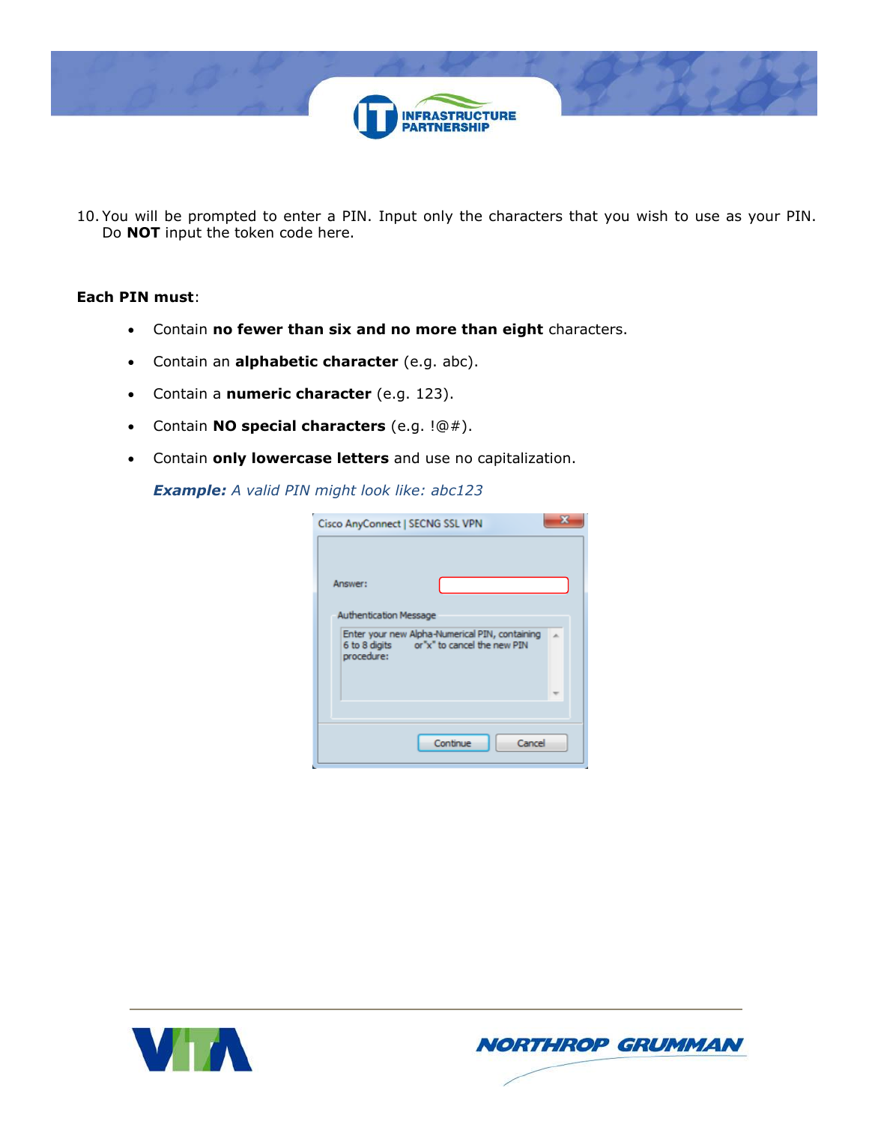

10. You will be prompted to enter a PIN. Input only the characters that you wish to use as your PIN. Do **NOT** input the token code here.

## **Each PIN must**:

- Contain **no fewer than six and no more than eight** characters.
- Contain an **alphabetic character** (e.g. abc).
- Contain a **numeric character** (e.g. 123).
- Contain **NO special characters** (e.g. !@#).
- Contain **only lowercase letters** and use no capitalization.

*Example: A valid PIN might look like: abc123*

| Cisco AnyConnect   SECNG SSL VPN         |                                                                                             |  |
|------------------------------------------|---------------------------------------------------------------------------------------------|--|
| Answer:<br><b>Authentication Message</b> |                                                                                             |  |
| procedure:                               | Enter your new Alpha-Numerical PIN, containing<br>6 to 8 digits or"x" to cancel the new PIN |  |
|                                          | Cancel<br>Continue                                                                          |  |



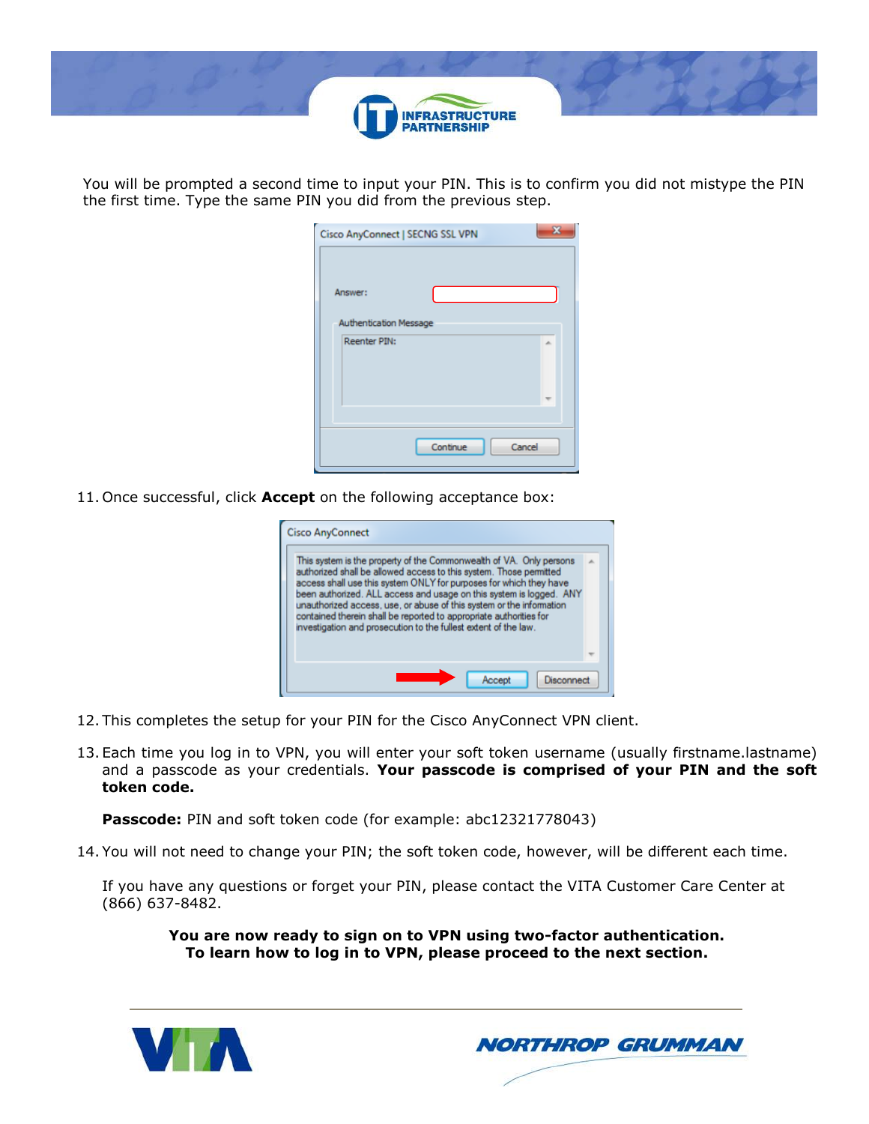

You will be prompted a second time to input your PIN. This is to confirm you did not mistype the PIN the first time. Type the same PIN you did from the previous step.

| Cisco AnyConnect   SECNG SSL VPN |          | 53     |
|----------------------------------|----------|--------|
|                                  |          |        |
| Answer:                          |          |        |
| <b>Authentication Message</b>    |          |        |
| <b>Reenter PIN:</b>              |          | s.     |
|                                  |          |        |
|                                  |          |        |
|                                  |          |        |
|                                  | Continue | Cancel |

11. Once successful, click **Accept** on the following acceptance box:

| <b>Cisco AnyConnect</b>                                                                                                                                                                                                                                                                                                                                                                                                                                                                                 |  |
|---------------------------------------------------------------------------------------------------------------------------------------------------------------------------------------------------------------------------------------------------------------------------------------------------------------------------------------------------------------------------------------------------------------------------------------------------------------------------------------------------------|--|
| This system is the property of the Commonwealth of VA. Only persons<br>authorized shall be allowed access to this system. Those permitted<br>access shall use this system ONLY for purposes for which they have<br>been authorized. ALL access and usage on this system is logged. ANY<br>unauthorized access, use, or abuse of this system or the information<br>contained therein shall be reported to appropriate authorities for<br>investigation and prosecution to the fullest extent of the law. |  |
|                                                                                                                                                                                                                                                                                                                                                                                                                                                                                                         |  |
| Disconnect<br>Accept                                                                                                                                                                                                                                                                                                                                                                                                                                                                                    |  |

- 12. This completes the setup for your PIN for the Cisco AnyConnect VPN client.
- 13. Each time you log in to VPN, you will enter your soft token username (usually firstname.lastname) and a passcode as your credentials. **Your passcode is comprised of your PIN and the soft token code.**

**Passcode:** PIN and soft token code (for example: abc12321778043)

14. You will not need to change your PIN; the soft token code, however, will be different each time.

If you have any questions or forget your PIN, please contact the VITA Customer Care Center at (866) 637-8482.

**You are now ready to sign on to VPN using two-factor authentication. To learn how to log in to VPN, please proceed to the next section.**